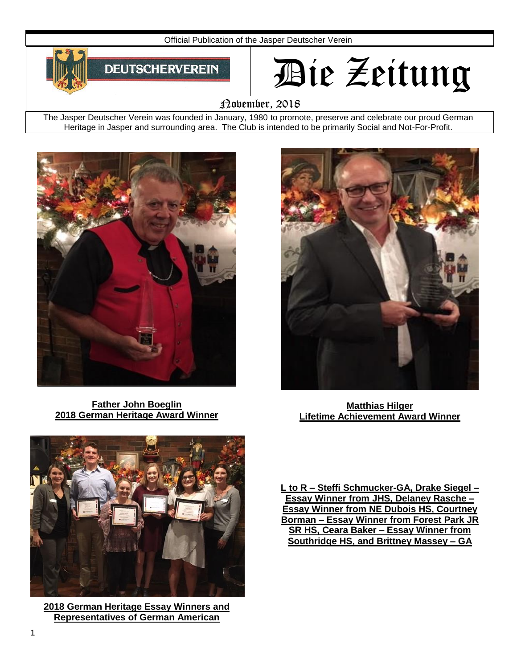

# Die Zeitung

# November, 2018

The Jasper Deutscher Verein was founded in January, 1980 to promote, preserve and celebrate our proud German Heritage in Jasper and surrounding area. The Club is intended to be primarily Social and Not-For-Profit.



**Father John Boeglin 2018 German Heritage Award Winner**



**Matthias Hilger Lifetime Achievement Award Winner**



**2018 German Heritage Essay Winners and Representatives of German American**

**L to R – Steffi Schmucker-GA, Drake Siegel – Essay Winner from JHS, Delaney Rasche – Essay Winner from NE Dubois HS, Courtney Borman – Essay Winner from Forest Park JR SR HS, Ceara Baker – Essay Winner from Southridge HS, and Brittney Massey – GA**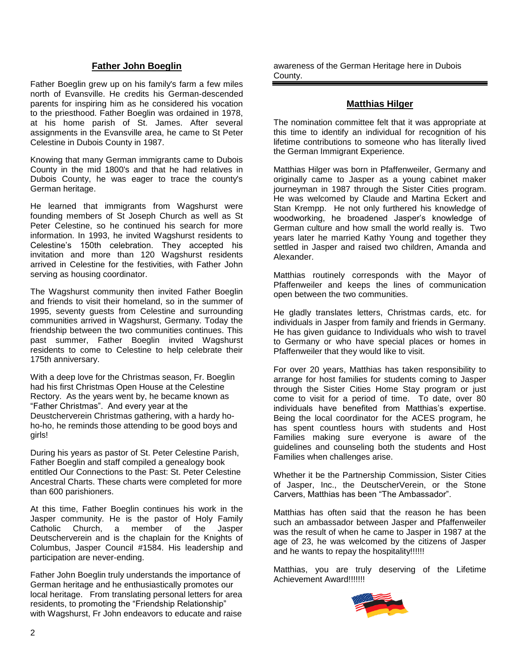### **Father John Boeglin**

Father Boeglin grew up on his family's farm a few miles north of Evansville. He credits his German-descended parents for inspiring him as he considered his vocation to the priesthood. Father Boeglin was ordained in 1978, at his home parish of St. James. After several assignments in the Evansville area, he came to St Peter Celestine in Dubois County in 1987.

Knowing that many German immigrants came to Dubois County in the mid 1800's and that he had relatives in Dubois County, he was eager to trace the county's German heritage.

He learned that immigrants from Wagshurst were founding members of St Joseph Church as well as St Peter Celestine, so he continued his search for more information. In 1993, he invited Wagshurst residents to Celestine's 150th celebration. They accepted his invitation and more than 120 Wagshurst residents arrived in Celestine for the festivities, with Father John serving as housing coordinator.

The Wagshurst community then invited Father Boeglin and friends to visit their homeland, so in the summer of 1995, seventy guests from Celestine and surrounding communities arrived in Wagshurst, Germany. Today the friendship between the two communities continues. This past summer, Father Boeglin invited Wagshurst residents to come to Celestine to help celebrate their 175th anniversary.

With a deep love for the Christmas season, Fr. Boeglin had his first Christmas Open House at the Celestine Rectory. As the years went by, he became known as "Father Christmas". And every year at the Deustcherverein Christmas gathering, with a hardy hoho-ho, he reminds those attending to be good boys and girls!

During his years as pastor of St. Peter Celestine Parish, Father Boeglin and staff compiled a genealogy book entitled Our Connections to the Past: St. Peter Celestine Ancestral Charts. These charts were completed for more than 600 parishioners.

At this time, Father Boeglin continues his work in the Jasper community. He is the pastor of Holy Family Catholic Church, a member of the Jasper Deutscherverein and is the chaplain for the Knights of Columbus, Jasper Council #1584. His leadership and participation are never-ending.

Father John Boeglin truly understands the importance of German heritage and he enthusiastically promotes our local heritage. From translating personal letters for area residents, to promoting the "Friendship Relationship" with Wagshurst, Fr John endeavors to educate and raise

awareness of the German Heritage here in Dubois County.

# **Matthias Hilger**

The nomination committee felt that it was appropriate at this time to identify an individual for recognition of his lifetime contributions to someone who has literally lived the German Immigrant Experience.

Matthias Hilger was born in Pfaffenweiler, Germany and originally came to Jasper as a young cabinet maker journeyman in 1987 through the Sister Cities program. He was welcomed by Claude and Martina Eckert and Stan Krempp. He not only furthered his knowledge of woodworking, he broadened Jasper's knowledge of German culture and how small the world really is. Two years later he married Kathy Young and together they settled in Jasper and raised two children, Amanda and Alexander.

Matthias routinely corresponds with the Mayor of Pfaffenweiler and keeps the lines of communication open between the two communities.

He gladly translates letters, Christmas cards, etc. for individuals in Jasper from family and friends in Germany. He has given guidance to Individuals who wish to travel to Germany or who have special places or homes in Pfaffenweiler that they would like to visit.

For over 20 years, Matthias has taken responsibility to arrange for host families for students coming to Jasper through the Sister Cities Home Stay program or just come to visit for a period of time. To date, over 80 individuals have benefited from Matthias's expertise. Being the local coordinator for the ACES program, he has spent countless hours with students and Host Families making sure everyone is aware of the guidelines and counseling both the students and Host Families when challenges arise.

Whether it be the Partnership Commission, Sister Cities of Jasper, Inc., the DeutscherVerein, or the Stone Carvers, Matthias has been "The Ambassador".

Matthias has often said that the reason he has been such an ambassador between Jasper and Pfaffenweiler was the result of when he came to Jasper in 1987 at the age of 23, he was welcomed by the citizens of Jasper and he wants to repay the hospitality!!!!!!

Matthias, you are truly deserving of the Lifetime Achievement Award!!!!!!!

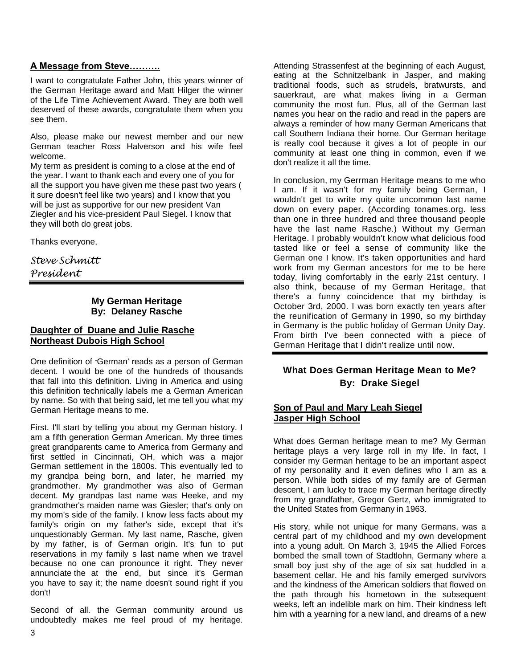# **A Message from Steve……….**

I want to congratulate Father John, this years winner of the German Heritage award and Matt Hilger the winner of the Life Time Achievement Award. They are both well deserved of these awards, congratulate them when you see them.

Also, please make our newest member and our new German teacher Ross Halverson and his wife feel welcome.

My term as president is coming to a close at the end of the year. I want to thank each and every one of you for all the support you have given me these past two years ( it sure doesn't feel like two years) and I know that you will be just as supportive for our new president Van Ziegler and his vice-president Paul Siegel. I know that they will both do great jobs.

Thanks everyone,

*Steve Schmitt President*

# **My German Heritage By: Delaney Rasche**

# **Daughter of Duane and Julie Rasche Northeast Dubois High School**

One definition of -German' reads as a person of German decent. I would be one of the hundreds of thousands that fall into this definition. Living in America and using this definition technically labels me a German American by name. So with that being said, let me tell you what my German Heritage means to me.

First. I'll start by telling you about my German history. I am a fifth generation German American. My three times great grandparents came to America from Germany and first settled in Cincinnati, OH, which was a major German settlement in the 1800s. This eventually led to my grandpa being born, and later, he married my grandmother. My grandmother was also of German decent. My grandpas last name was Heeke, and my grandmother's maiden name was Giesler; that's only on my mom's side of the family. I know less facts about my family's origin on my father's side, except that it's unquestionably German. My last name, Rasche, given by my father, is of German origin. It's fun to put reservations in my family s last name when we travel because no one can pronounce it right. They never annunciate the at the end, but since it's German you have to say it; the name doesn't sound right if you don't!

Second of all. the German community around us undoubtedly makes me feel proud of my heritage.

Attending Strassenfest at the beginning of each August, eating at the Schnitzelbank in Jasper, and making traditional foods, such as strudels, bratwursts, and sauerkraut, are what makes living in a German community the most fun. Plus, all of the German last names you hear on the radio and read in the papers are always a reminder of how many German Americans that call Southern Indiana their home. Our German heritage is really cool because it gives a lot of people in our community at least one thing in common, even if we don't realize it all the time.

In conclusion, my Gerrman Heritage means to me who I am. If it wasn't for my family being German, I wouldn't get to write my quite uncommon last name down on every paper. (According tonames.org. less than one in three hundred and three thousand people have the last name Rasche.) Without my German Heritage. I probably wouldn't know what delicious food tasted like or feel a sense of community like the German one I know. It's taken opportunities and hard work from my German ancestors for me to be here today, living comfortably in the early 21st century. I also think, because of my German Heritage, that there's a funny coincidence that my birthday is October 3rd, 2000. I was born exactly ten years after the reunification of Germany in 1990, so my birthday in Germany is the public holiday of German Unity Day. From birth I've been connected with a piece of German Heritage that I didn't realize until now.

# **What Does German Heritage Mean to Me? By: Drake Siegel**

# **Son of Paul and Mary Leah Siegel Jasper High School**

What does German heritage mean to me? My German heritage plays a very large roll in my life. In fact, I consider my German heritage to be an important aspect of my personality and it even defines who I am as a person. While both sides of my family are of German descent, I am lucky to trace my German heritage directly from my grandfather, Gregor Gertz, who immigrated to the United States from Germany in 1963.

His story, while not unique for many Germans, was a central part of my childhood and my own development into a young adult. On March 3, 1945 the Allied Forces bombed the small town of Stadtlohn, Germany where a small boy just shy of the age of six sat huddled in a basement cellar. He and his family emerged survivors and the kindness of the American soldiers that flowed on the path through his hometown in the subsequent weeks, left an indelible mark on him. Their kindness left him with a yearning for a new land, and dreams of a new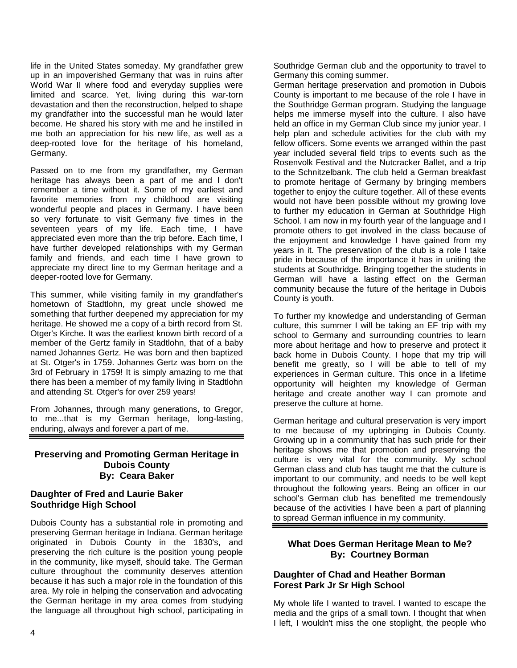life in the United States someday. My grandfather grew up in an impoverished Germany that was in ruins after World War II where food and everyday supplies were limited and scarce. Yet, living during this war-torn devastation and then the reconstruction, helped to shape my grandfather into the successful man he would later become. He shared his story with me and he instilled in me both an appreciation for his new life, as well as a deep-rooted love for the heritage of his homeland, Germany.

Passed on to me from my grandfather, my German heritage has always been a part of me and I don't remember a time without it. Some of my earliest and favorite memories from my childhood are visiting wonderful people and places in Germany. I have been so very fortunate to visit Germany five times in the seventeen years of my life. Each time, I have appreciated even more than the trip before. Each time, I have further developed relationships with my German family and friends, and each time I have grown to appreciate my direct line to my German heritage and a deeper-rooted love for Germany.

This summer, while visiting family in my grandfather's hometown of Stadtlohn, my great uncle showed me something that further deepened my appreciation for my heritage. He showed me a copy of a birth record from St. Otger's Kirche. It was the earliest known birth record of a member of the Gertz family in Stadtlohn, that of a baby named Johannes Gertz. He was born and then baptized at St. Otger's in 1759. Johannes Gertz was born on the 3rd of February in 1759! It is simply amazing to me that there has been a member of my family living in Stadtlohn and attending St. Otger's for over 259 years!

From Johannes, through many generations, to Gregor, to me...that is my German heritage, long-lasting, enduring, always and forever a part of me.

# **Preserving and Promoting German Heritage in Dubois County By: Ceara Baker**

#### **Daughter of Fred and Laurie Baker Southridge High School**

Dubois County has a substantial role in promoting and preserving German heritage in Indiana. German heritage originated in Dubois County in the 1830's, and preserving the rich culture is the position young people in the community, like myself, should take. The German culture throughout the community deserves attention because it has such a major role in the foundation of this area. My role in helping the conservation and advocating the German heritage in my area comes from studying the language all throughout high school, participating in Southridge German club and the opportunity to travel to Germany this coming summer.

German heritage preservation and promotion in Dubois County is important to me because of the role I have in the Southridge German program. Studying the language helps me immerse myself into the culture. I also have held an office in my German Club since my junior year. I help plan and schedule activities for the club with my fellow officers. Some events we arranged within the past year included several field trips to events such as the Rosenvolk Festival and the Nutcracker Ballet, and a trip to the Schnitzelbank. The club held a German breakfast to promote heritage of Germany by bringing members together to enjoy the culture together. All of these events would not have been possible without my growing love to further my education in German at Southridge High School. I am now in my fourth year of the language and I promote others to get involved in the class because of the enjoyment and knowledge I have gained from my years in it. The preservation of the club is a role I take pride in because of the importance it has in uniting the students at Southridge. Bringing together the students in German will have a lasting effect on the German community because the future of the heritage in Dubois County is youth.

To further my knowledge and understanding of German culture, this summer I will be taking an EF trip with my school to Germany and surrounding countries to learn more about heritage and how to preserve and protect it back home in Dubois County. I hope that my trip will benefit me greatly, so I will be able to tell of my experiences in German culture. This once in a lifetime opportunity will heighten my knowledge of German heritage and create another way I can promote and preserve the culture at home.

German heritage and cultural preservation is very import to me because of my upbringing in Dubois County. Growing up in a community that has such pride for their heritage shows me that promotion and preserving the culture is very vital for the community. My school German class and club has taught me that the culture is important to our community, and needs to be well kept throughout the following years. Being an officer in our school's German club has benefited me tremendously because of the activities I have been a part of planning to spread German influence in my community.

# **What Does German Heritage Mean to Me? By: Courtney Borman**

# **Daughter of Chad and Heather Borman Forest Park Jr Sr High School**

My whole life I wanted to travel. I wanted to escape the media and the grips of a small town. I thought that when I left, I wouldn't miss the one stoplight, the people who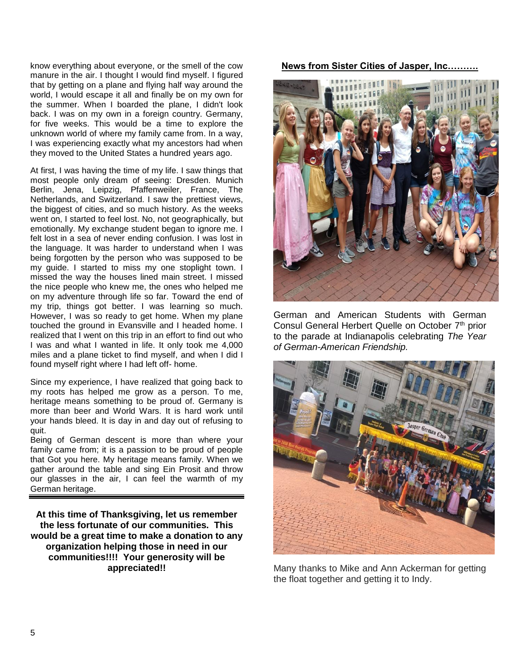know everything about everyone, or the smell of the cow manure in the air. I thought I would find myself. I figured that by getting on a plane and flying half way around the world, I would escape it all and finally be on my own for the summer. When I boarded the plane, I didn't look back. I was on my own in a foreign country. Germany, for five weeks. This would be a time to explore the unknown world of where my family came from. In a way, I was experiencing exactly what my ancestors had when they moved to the United States a hundred years ago.

At first, I was having the time of my life. I saw things that most people only dream of seeing: Dresden. Munich Berlin, Jena, Leipzig, Pfaffenweiler, France, The Netherlands, and Switzerland. I saw the prettiest views, the biggest of cities, and so much history. As the weeks went on, I started to feel lost. No, not geographically, but emotionally. My exchange student began to ignore me. I felt lost in a sea of never ending confusion. I was lost in the language. It was harder to understand when I was being forgotten by the person who was supposed to be my guide. I started to miss my one stoplight town. I missed the way the houses lined main street. I missed the nice people who knew me, the ones who helped me on my adventure through life so far. Toward the end of my trip, things got better. I was learning so much. However, I was so ready to get home. When my plane touched the ground in Evansville and I headed home. I realized that I went on this trip in an effort to find out who I was and what I wanted in life. It only took me 4,000 miles and a plane ticket to find myself, and when I did I found myself right where I had left off- home.

Since my experience, I have realized that going back to my roots has helped me grow as a person. To me, heritage means something to be proud of. Germany is more than beer and World Wars. It is hard work until your hands bleed. It is day in and day out of refusing to quit.

Being of German descent is more than where your family came from; it is a passion to be proud of people that Got you here. My heritage means family. When we gather around the table and sing Ein Prosit and throw our glasses in the air, I can feel the warmth of my German heritage.

**At this time of Thanksgiving, let us remember the less fortunate of our communities. This would be a great time to make a donation to any organization helping those in need in our communities!!!! Your generosity will be appreciated!!**

**News from Sister Cities of Jasper, Inc……….**



German and American Students with German Consul General Herbert Quelle on October 7<sup>th</sup> prior to the parade at Indianapolis celebrating *The Year of German-American Friendship.*



Many thanks to Mike and Ann Ackerman for getting the float together and getting it to Indy.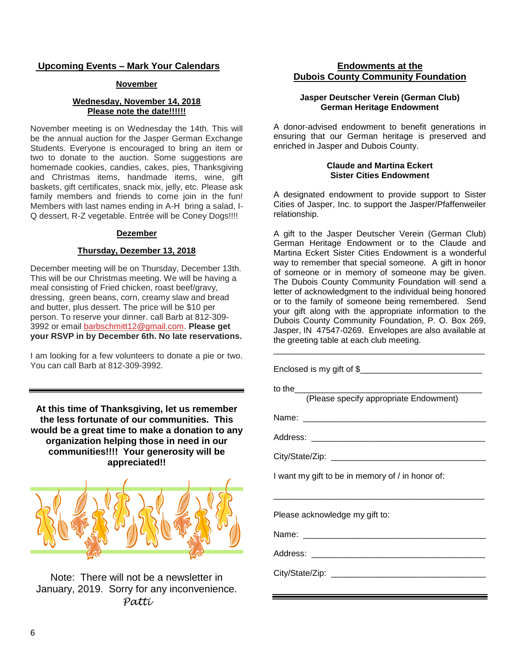# **Upcoming Events – Mark Your Calendars**

# **November**

# **Wednesday, November 14, 2018 Please note the date!!!!!!**

November meeting is on Wednesday the 14th. This will be the annual auction for the Jasper German Exchange Students. Everyone is encouraged to bring an item or two to donate to the auction. Some suggestions are homemade cookies, candies, cakes, pies, Thanksgiving and Christmas items, handmade items, wine, gift baskets, gift certificates, snack mix, jelly, etc. Please ask family members and friends to come join in the fun! Members with last names ending in A-H bring a salad, I-Q dessert, R-Z vegetable. Entrée will be Coney Dogs!!!!

#### **Dezember**

# **Thursday, Dezember 13, 2018**

December meeting will be on Thursday, December 13th. This will be our Christmas meeting. We will be having a meal consisting of Fried chicken, roast beef/gravy, dressing, green beans, corn, creamy slaw and bread and butter, plus dessert. The price will be \$10 per person. To reserve your dinner. call Barb at 812-309- 3992 or email [barbschmitt12@gmail.com.](mailto:barbschmitt12@gmail.com) **Please get your RSVP in by December 6th. No late reservations.** 

I am looking for a few volunteers to donate a pie or two. You can call Barb at 812-309-3992.

**At this time of Thanksgiving, let us remember the less fortunate of our communities. This would be a great time to make a donation to any organization helping those in need in our communities!!!! Your generosity will be appreciated!!**



Note: There will not be a newsletter in January, 2019. Sorry for any inconvenience. *Patti*

# **Endowments at the Dubois County Community Foundation**

# **Jasper Deutscher Verein (German Club) German Heritage Endowment**

A donor-advised endowment to benefit generations in ensuring that our German heritage is preserved and enriched in Jasper and Dubois County.

### **Claude and Martina Eckert Sister Cities Endowment**

A designated endowment to provide support to Sister Cities of Jasper, Inc. to support the Jasper/Pfaffenweiler relationship.

A gift to the Jasper Deutscher Verein (German Club) German Heritage Endowment or to the Claude and Martina Eckert Sister Cities Endowment is a wonderful way to remember that special someone. A gift in honor of someone or in memory of someone may be given. The Dubois County Community Foundation will send a letter of acknowledgment to the individual being honored or to the family of someone being remembered. Send your gift along with the appropriate information to the Dubois County Community Foundation, P. O. Box 269, Jasper, IN 47547-0269. Envelopes are also available at the greeting table at each club meeting. \_\_\_\_\_\_\_\_\_\_\_\_\_\_\_\_\_\_\_\_\_\_\_\_\_\_\_\_\_\_\_\_\_\_\_\_\_\_\_\_\_\_\_\_\_

| to the<br>(Please specify appropriate Endowment) |
|--------------------------------------------------|
|                                                  |
|                                                  |
|                                                  |
| I want my gift to be in memory of / in honor of: |
|                                                  |
| Please acknowledge my gift to:                   |
|                                                  |
|                                                  |
|                                                  |
|                                                  |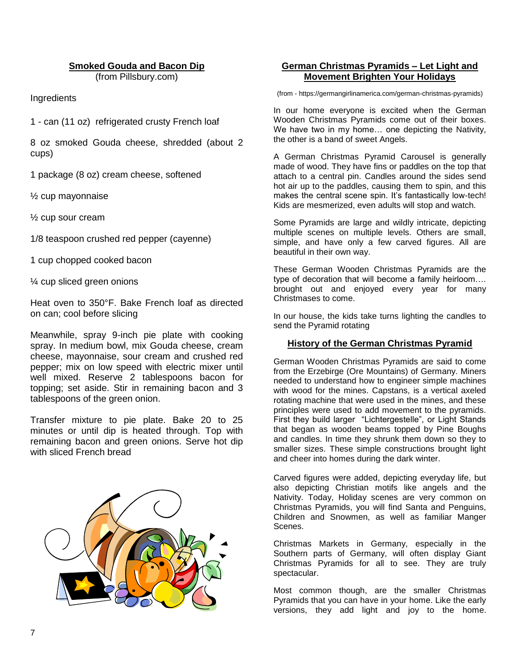# **Smoked Gouda and Bacon Dip**

(from Pillsbury.com)

Ingredients

1 - can (11 oz) refrigerated crusty French loaf

8 oz smoked Gouda cheese, shredded (about 2 cups)

1 package (8 oz) cream cheese, softened

½ cup mayonnaise

½ cup sour cream

1/8 teaspoon crushed red pepper (cayenne)

1 cup chopped cooked bacon

¼ cup sliced green onions

Heat oven to 350°F. Bake French loaf as directed on can; cool before slicing

Meanwhile, spray 9-inch pie plate with cooking spray. In medium bowl, mix Gouda cheese, cream cheese, mayonnaise, sour cream and crushed red pepper; mix on low speed with electric mixer until well mixed. Reserve 2 tablespoons bacon for topping; set aside. Stir in remaining bacon and 3 tablespoons of the green onion.

Transfer mixture to pie plate. Bake 20 to 25 minutes or until dip is heated through. Top with remaining bacon and green onions. Serve hot dip with sliced French bread



# **German Christmas Pyramids – Let Light and Movement Brighten Your Holidays**

(from - https://germangirlinamerica.com/german-christmas-pyramids)

In our home everyone is excited when the German Wooden Christmas Pyramids come out of their boxes. We have two in my home… one depicting the Nativity, the other is a band of sweet Angels.

A German Christmas Pyramid Carousel is generally made of wood. They have fins or paddles on the top that attach to a central pin. Candles around the sides send hot air up to the paddles, causing them to spin, and this makes the central scene spin. It's fantastically low-tech! Kids are mesmerized, even adults will stop and watch.

Some Pyramids are large and wildly intricate, depicting multiple scenes on multiple levels. Others are small, simple, and have only a few carved figures. All are beautiful in their own way.

These German Wooden Christmas Pyramids are the type of decoration that will become a family heirloom…. brought out and enjoyed every year for many Christmases to come.

In our house, the kids take turns lighting the candles to send the Pyramid rotating

#### **History of the German Christmas Pyramid**

German Wooden Christmas Pyramids are said to come from the Erzebirge (Ore Mountains) of Germany. Miners needed to understand how to engineer simple machines with wood for the mines. Capstans, is a vertical axeled rotating machine that were used in the mines, and these principles were used to add movement to the pyramids. First they build larger "Lichtergestelle", or Light Stands that began as wooden beams topped by Pine Boughs and candles. In time they shrunk them down so they to smaller sizes. These simple constructions brought light and cheer into homes during the dark winter.

Carved figures were added, depicting everyday life, but also depicting Christian motifs like angels and the Nativity. Today, Holiday scenes are very common on Christmas Pyramids, you will find Santa and Penguins, Children and Snowmen, as well as familiar Manger Scenes.

Christmas Markets in Germany, especially in the Southern parts of Germany, will often display Giant Christmas Pyramids for all to see. They are truly spectacular.

Most common though, are the smaller Christmas Pyramids that you can have in your home. Like the early versions, they add light and joy to the home.